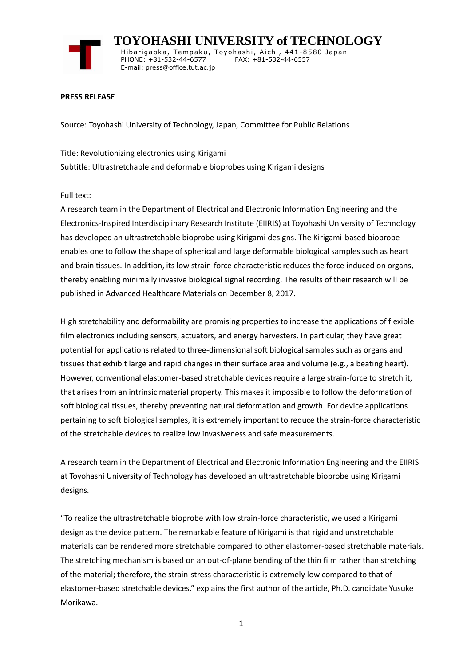

 **TOYOHASHI UNIVERSITY of TECHNOLOGY** Hibarigaoka, Tempaku, Toyohashi, Aichi, 441-8580 Japan PHONE: +81-532-44-6577 FAX: +81-532-44-6557 E-mail: press@office.tut.ac.jp

### **PRESS RELEASE**

Source: Toyohashi University of Technology, Japan, Committee for Public Relations

Title: Revolutionizing electronics using Kirigami Subtitle: Ultrastretchable and deformable bioprobes using Kirigami designs

#### Full text:

A research team in the Department of Electrical and Electronic Information Engineering and the Electronics-Inspired Interdisciplinary Research Institute (EIIRIS) at Toyohashi University of Technology has developed an ultrastretchable bioprobe using Kirigami designs. The Kirigami-based bioprobe enables one to follow the shape of spherical and large deformable biological samples such as heart and brain tissues. In addition, its low strain-force characteristic reduces the force induced on organs, thereby enabling minimally invasive biological signal recording. The results of their research will be published in Advanced Healthcare Materials on December 8, 2017.

High stretchability and deformability are promising properties to increase the applications of flexible film electronics including sensors, actuators, and energy harvesters. In particular, they have great potential for applications related to three-dimensional soft biological samples such as organs and tissues that exhibit large and rapid changes in their surface area and volume (e.g., a beating heart). However, conventional elastomer-based stretchable devices require a large strain-force to stretch it, that arises from an intrinsic material property. This makes it impossible to follow the deformation of soft biological tissues, thereby preventing natural deformation and growth. For device applications pertaining to soft biological samples, it is extremely important to reduce the strain-force characteristic of the stretchable devices to realize low invasiveness and safe measurements.

A research team in the Department of Electrical and Electronic Information Engineering and the EIIRIS at Toyohashi University of Technology has developed an ultrastretchable bioprobe using Kirigami designs.

"To realize the ultrastretchable bioprobe with low strain-force characteristic, we used a Kirigami design as the device pattern. The remarkable feature of Kirigami is that rigid and unstretchable materials can be rendered more stretchable compared to other elastomer-based stretchable materials. The stretching mechanism is based on an out-of-plane bending of the thin film rather than stretching of the material; therefore, the strain-stress characteristic is extremely low compared to that of elastomer-based stretchable devices," explains the first author of the article, Ph.D. candidate Yusuke Morikawa.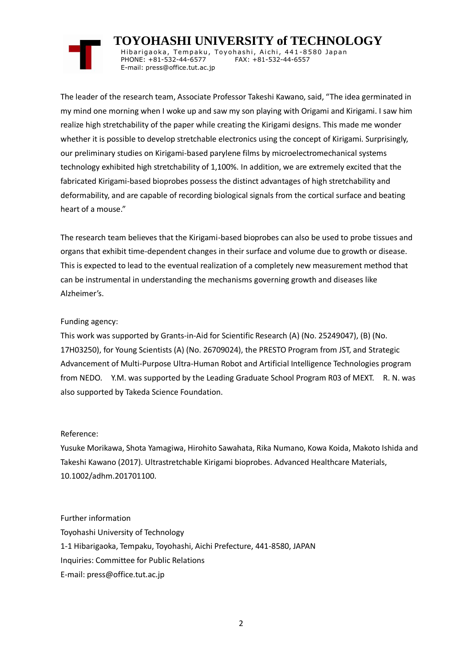# **TOYOHASHI UNIVERSITY of TECHNOLOGY**

Hibarigaoka, Tempaku, Toyohashi, Aichi, 441-8580 Japan PHONE: +81-532-44-6577 FAX: +81-532-44-6557 E-mail: press@office.tut.ac.jp

The leader of the research team, Associate Professor Takeshi Kawano, said, "The idea germinated in my mind one morning when I woke up and saw my son playing with Origami and Kirigami. I saw him realize high stretchability of the paper while creating the Kirigami designs. This made me wonder whether it is possible to develop stretchable electronics using the concept of Kirigami. Surprisingly, our preliminary studies on Kirigami-based parylene films by microelectromechanical systems technology exhibited high stretchability of 1,100%. In addition, we are extremely excited that the fabricated Kirigami-based bioprobes possess the distinct advantages of high stretchability and deformability, and are capable of recording biological signals from the cortical surface and beating heart of a mouse."

The research team believes that the Kirigami-based bioprobes can also be used to probe tissues and organs that exhibit time-dependent changes in their surface and volume due to growth or disease. This is expected to lead to the eventual realization of a completely new measurement method that can be instrumental in understanding the mechanisms governing growth and diseases like Alzheimer's.

## Funding agency:

This work was supported by Grants-in-Aid for Scientific Research (A) (No. 25249047), (B) (No. 17H03250), for Young Scientists (A) (No. 26709024), the PRESTO Program from JST, and Strategic Advancement of Multi-Purpose Ultra-Human Robot and Artificial Intelligence Technologies program from NEDO. Y.M. was supported by the Leading Graduate School Program R03 of MEXT. R. N. was also supported by Takeda Science Foundation.

## Reference:

Yusuke Morikawa, Shota Yamagiwa, Hirohito Sawahata, Rika Numano, Kowa Koida, Makoto Ishida and Takeshi Kawano (2017). Ultrastretchable Kirigami bioprobes. Advanced Healthcare Materials, 10.1002/adhm.201701100.

Further information Toyohashi University of Technology 1-1 Hibarigaoka, Tempaku, Toyohashi, Aichi Prefecture, 441-8580, JAPAN Inquiries: Committee for Public Relations E-mail: press@office.tut.ac.jp